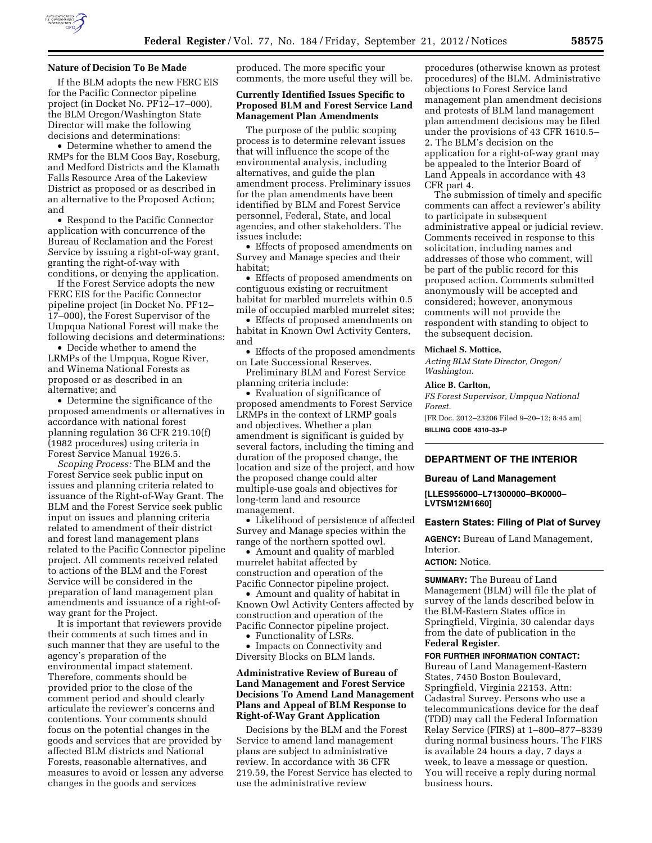

### **Nature of Decision To Be Made**

If the BLM adopts the new FERC EIS for the Pacific Connector pipeline project (in Docket No. PF12–17–000), the BLM Oregon/Washington State Director will make the following decisions and determinations:

• Determine whether to amend the RMPs for the BLM Coos Bay, Roseburg, and Medford Districts and the Klamath Falls Resource Area of the Lakeview District as proposed or as described in an alternative to the Proposed Action; and

• Respond to the Pacific Connector application with concurrence of the Bureau of Reclamation and the Forest Service by issuing a right-of-way grant, granting the right-of-way with conditions, or denying the application.

If the Forest Service adopts the new FERC EIS for the Pacific Connector pipeline project (in Docket No. PF12– 17–000), the Forest Supervisor of the Umpqua National Forest will make the following decisions and determinations:

• Decide whether to amend the LRMPs of the Umpqua, Rogue River, and Winema National Forests as proposed or as described in an alternative; and

• Determine the significance of the proposed amendments or alternatives in accordance with national forest planning regulation 36 CFR 219.10(f) (1982 procedures) using criteria in Forest Service Manual 1926.5.

*Scoping Process:* The BLM and the Forest Service seek public input on issues and planning criteria related to issuance of the Right-of-Way Grant. The BLM and the Forest Service seek public input on issues and planning criteria related to amendment of their district and forest land management plans related to the Pacific Connector pipeline project. All comments received related to actions of the BLM and the Forest Service will be considered in the preparation of land management plan amendments and issuance of a right-ofway grant for the Project.

It is important that reviewers provide their comments at such times and in such manner that they are useful to the agency's preparation of the environmental impact statement. Therefore, comments should be provided prior to the close of the comment period and should clearly articulate the reviewer's concerns and contentions. Your comments should focus on the potential changes in the goods and services that are provided by affected BLM districts and National Forests, reasonable alternatives, and measures to avoid or lessen any adverse changes in the goods and services

produced. The more specific your comments, the more useful they will be.

#### **Currently Identified Issues Specific to Proposed BLM and Forest Service Land Management Plan Amendments**

The purpose of the public scoping process is to determine relevant issues that will influence the scope of the environmental analysis, including alternatives, and guide the plan amendment process. Preliminary issues for the plan amendments have been identified by BLM and Forest Service personnel, Federal, State, and local agencies, and other stakeholders. The issues include:

• Effects of proposed amendments on Survey and Manage species and their habitat;

• Effects of proposed amendments on contiguous existing or recruitment habitat for marbled murrelets within 0.5 mile of occupied marbled murrelet sites;

• Effects of proposed amendments on habitat in Known Owl Activity Centers, and

• Effects of the proposed amendments on Late Successional Reserves.

Preliminary BLM and Forest Service planning criteria include:

• Evaluation of significance of proposed amendments to Forest Service LRMPs in the context of LRMP goals and objectives. Whether a plan amendment is significant is guided by several factors, including the timing and duration of the proposed change, the location and size of the project, and how the proposed change could alter multiple-use goals and objectives for long-term land and resource management.

• Likelihood of persistence of affected Survey and Manage species within the range of the northern spotted owl.

• Amount and quality of marbled murrelet habitat affected by construction and operation of the Pacific Connector pipeline project.

• Amount and quality of habitat in Known Owl Activity Centers affected by construction and operation of the Pacific Connector pipeline project.

• Functionality of LSRs.

• Impacts on Connectivity and Diversity Blocks on BLM lands.

### **Administrative Review of Bureau of Land Management and Forest Service Decisions To Amend Land Management Plans and Appeal of BLM Response to Right-of-Way Grant Application**

Decisions by the BLM and the Forest Service to amend land management plans are subject to administrative review. In accordance with 36 CFR 219.59, the Forest Service has elected to use the administrative review

procedures (otherwise known as protest procedures) of the BLM. Administrative objections to Forest Service land management plan amendment decisions and protests of BLM land management plan amendment decisions may be filed under the provisions of 43 CFR 1610.5– 2. The BLM's decision on the application for a right-of-way grant may be appealed to the Interior Board of Land Appeals in accordance with 43 CFR part 4.

The submission of timely and specific comments can affect a reviewer's ability to participate in subsequent administrative appeal or judicial review. Comments received in response to this solicitation, including names and addresses of those who comment, will be part of the public record for this proposed action. Comments submitted anonymously will be accepted and considered; however, anonymous comments will not provide the respondent with standing to object to the subsequent decision.

#### **Michael S. Mottice,**

*Acting BLM State Director, Oregon/ Washington.* 

#### **Alice B. Carlton,**

*FS Forest Supervisor, Umpqua National Forest.*  [FR Doc. 2012–23206 Filed 9–20–12; 8:45 am]

**BILLING CODE 4310–33–P** 

# **DEPARTMENT OF THE INTERIOR**

#### **Bureau of Land Management**

**[LLES956000–L71300000–BK0000– LVTSM12M1660]** 

#### **Eastern States: Filing of Plat of Survey**

**AGENCY:** Bureau of Land Management, Interior.

#### **ACTION:** Notice.

**SUMMARY:** The Bureau of Land Management (BLM) will file the plat of survey of the lands described below in the BLM-Eastern States office in Springfield, Virginia, 30 calendar days from the date of publication in the **Federal Register**.

#### **FOR FURTHER INFORMATION CONTACT:**

Bureau of Land Management-Eastern States, 7450 Boston Boulevard, Springfield, Virginia 22153. Attn: Cadastral Survey. Persons who use a telecommunications device for the deaf (TDD) may call the Federal Information Relay Service (FIRS) at 1–800–877–8339 during normal business hours. The FIRS is available 24 hours a day, 7 days a week, to leave a message or question. You will receive a reply during normal business hours.